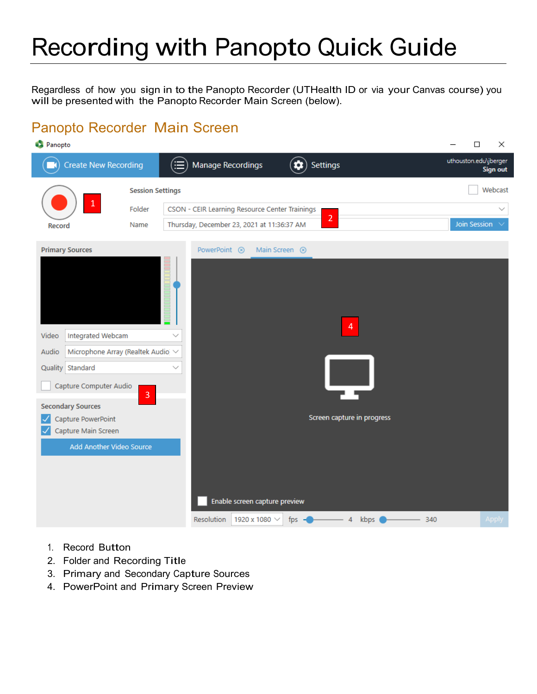# Recording with Panopto Quick Guide

Regardless of how you sign in to the Panopto Recorder (UTHealth ID or via your Canvas course) you will be presented with the Panopto Recorder Main Screen (below).

#### Panopto Recorder Main Screen

| <b>C</b> Panopto                                                                                                                                                                                                             |                |                                                                                                                                       | □<br>×                                   |  |  |  |
|------------------------------------------------------------------------------------------------------------------------------------------------------------------------------------------------------------------------------|----------------|---------------------------------------------------------------------------------------------------------------------------------------|------------------------------------------|--|--|--|
| <b>Create New Recording</b>                                                                                                                                                                                                  |                | (≡<br>Manage Recordings<br>Settings                                                                                                   | uthouston.edu\jberger<br><b>Sign out</b> |  |  |  |
|                                                                                                                                                                                                                              |                | <b>Session Settings</b>                                                                                                               |                                          |  |  |  |
|                                                                                                                                                                                                                              | Folder         | CSON - CEIR Learning Resource Center Trainings                                                                                        | $\checkmark$                             |  |  |  |
| Record                                                                                                                                                                                                                       | Name           | $\overline{2}$<br>Thursday, December 23, 2021 at 11:36:37 AM                                                                          | <b>Join Session</b>                      |  |  |  |
| <b>Primary Sources</b>                                                                                                                                                                                                       |                | Main Screen <sup>8</sup><br>PowerPoint <sup>8</sup>                                                                                   |                                          |  |  |  |
| Integrated Webcam<br>Video<br>Microphone Array (Realtek Audio) V<br>Audio<br>Quality Standard<br>Capture Computer Audio<br><b>Secondary Sources</b><br>Capture PowerPoint<br>Capture Main Screen<br>Add Another Video Source | $\overline{3}$ | $\overline{4}$<br>Screen capture in progress<br>Enable screen capture preview<br>Resolution<br>1920 x 1080 $\sim$<br>kbps<br>fps<br>4 | 340<br><b>Apply</b>                      |  |  |  |

- 1. Record Button
- 2. Folder and Recording Title
- 3. Primary and Secondary Capture Sources
- 4. PowerPoint and Primary Screen Preview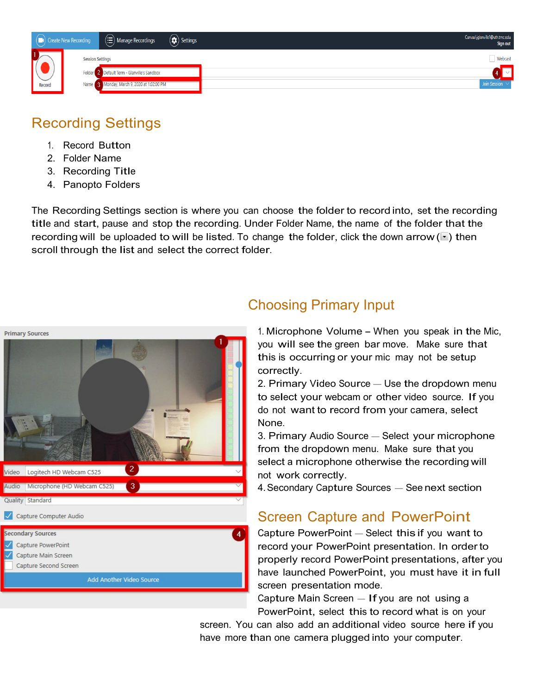

## Recording Settings

- 1. Record Button
- 2. Folder Name
- 3. Recording Title
- 4. Panopto Folders

The Recording Settings section is where you can choose the folder to record into, set the recording title and start, pause and stop the recording. Under Folder Name, the name of the folder that the recording will be uploaded to will be listed. To change the folder, click the down arrow  $(\cdot)$  then scroll through the list and select the correct folder.



#### Choosing Primary Input

1. Microphone Volume - When you speak in the Mic, you will see the green bar move. Make sure that this is occurring or your mic may not be setup correctly.

2. Primary Video Source – Use the dropdown menu to select your webcam or other video source. If you do not want to record from your camera, select None.

3. Primary Audio Source – Select your microphone from the dropdown menu. Make sure that you select <sup>a</sup> microphone otherwise the recording will not work correctly.

4. Secondary Capture Sources – See next section

#### Screen Capture and PowerPoint

Capture PowerPoint – Select this if you want to record your PowerPoint presentation. In order to properly record PowerPoint presentations, after you have launched PowerPoint, you must have it in full screen presentation mode.

Capture Main Screen  $-$  If you are not using a PowerPoint, select this to record what is on your

screen. You can also add an additional video source here if you have more than one camera plugged into your computer.